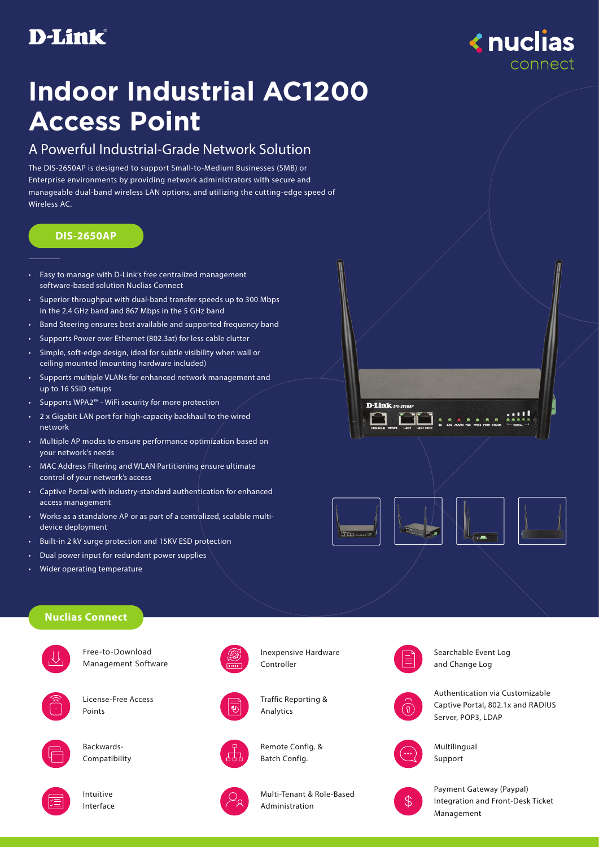# **D-Link**



# **Indoor Industrial AC1200 Access Point**

## A Powerful Industrial-Grade Network Solution

The DIS-2650AP is designed to support Small-to-Medium Businesses (SMB) or Enterprise environments by providing network administrators with secure and manageable dual-band wireless LAN options, and utilizing the cutting-edge speed of Wireless AC.

#### **DIS-2650AP**

- Easy to manage with D-Link's free centralized management software-based solution Nuclias Connect
- Superior throughput with dual-band transfer speeds up to 300 Mbps in the 2.4 GHz band and 867 Mbps in the 5 GHz band
- Band Steering ensures best available and supported frequency band
- Supports Power over Ethernet (802.3at) for less cable clutter
- Simple, soft-edge design, ideal for subtle visibility when wall or ceiling mounted (mounting hardware included)
- Supports multiple VLANs for enhanced network management and up to 16 SSID setups
- Supports WPA2™ WiFi security for more protection
- 2 x Gigabit LAN port for high-capacity backhaul to the wired network
- Multiple AP modes to ensure performance optimization based on your network's needs
- MAC Address Filtering and WLAN Partitioning ensure ultimate control of your network's access
- Captive Portal with industry-standard authentication for enhanced access management
- Works as a standalone AP or as part of a centralized, scalable multidevice deployment
- Built-in 2 kV surge protection and 15KV ESD protection
- Dual power input for redundant power supplies
- Wider operating temperature

### **Nuclias Connect**



Free-to-Download Management Software



License-Free Access Points



Backwards-Compatibility



Intuitive Interface







Traffic Reporting & Analytics



Remote Config. & Batch Config.



Multi-Tenant & Role-Based Administration



Searchable Event Log and Change Log



Authentication via Customizable Captive Portal, 802.1x and RADIUS Server, POP3, LDAP



Multilingual Support



Payment Gateway (Paypal) Integration and Front-Desk Ticket Management



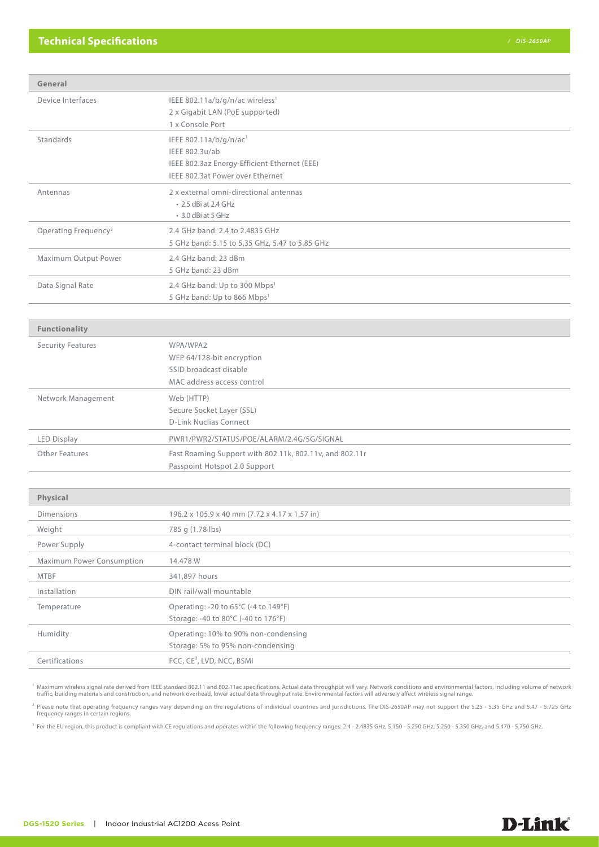| General                          |                                                                                                                                          |
|----------------------------------|------------------------------------------------------------------------------------------------------------------------------------------|
| Device Interfaces                | IEEE 802.11a/b/g/n/ac wireless <sup>1</sup><br>2 x Gigabit LAN (PoE supported)<br>1 x Console Port                                       |
| Standards                        | IEEE 802.11a/b/g/n/ac <sup>1</sup><br>IEEE 802.3u/ab<br>IEEE 802.3az Energy-Efficient Ethernet (EEE)<br>IEEE 802.3at Power over Ethernet |
| Antennas                         | 2 x external omni-directional antennas<br>• 2.5 dBi at 2.4 GHz<br>• 3.0 dBi at 5 GHz                                                     |
| Operating Frequency <sup>2</sup> | 2.4 GHz band: 2.4 to 2.4835 GHz<br>5 GHz band: 5.15 to 5.35 GHz, 5.47 to 5.85 GHz                                                        |
| Maximum Output Power             | 2.4 GHz band: 23 dBm<br>5 GHz band: 23 dBm                                                                                               |
| Data Signal Rate                 | 2.4 GHz band: Up to 300 Mbps <sup>1</sup><br>5 GHz band: Up to 866 Mbps <sup>1</sup>                                                     |
| <b>Functionality</b>             |                                                                                                                                          |
| <b>Security Features</b>         | WPA/WPA2<br>WEP 64/128-bit encryption<br>SSID broadcast disable<br>MAC address access control                                            |
| Network Management               | Web (HTTP)<br>Secure Socket Layer (SSL)<br><b>D-Link Nuclias Connect</b>                                                                 |
| <b>LED Display</b>               | PWR1/PWR2/STATUS/POE/ALARM/2.4G/5G/SIGNAL                                                                                                |
| <b>Other Features</b>            | Fast Roaming Support with 802.11k, 802.11v, and 802.11r<br>Passpoint Hotspot 2.0 Support                                                 |
|                                  |                                                                                                                                          |
| Physical                         |                                                                                                                                          |
| <b>Dimensions</b>                | 196.2 x 105.9 x 40 mm (7.72 x 4.17 x 1.57 in)                                                                                            |
| Weight                           | 785 g (1.78 lbs)                                                                                                                         |
| Power Supply                     | 4-contact terminal block (DC)                                                                                                            |
| Maximum Power Consumption        | 14.478 W                                                                                                                                 |
| <b>MTBF</b>                      | 341,897 hours                                                                                                                            |
| Installation                     | DIN rail/wall mountable                                                                                                                  |
| Temperature                      | Operating: -20 to 65°C (-4 to 149°F)<br>Storage: -40 to 80°C (-40 to 176°F)                                                              |
| Humidity                         | Operating: 10% to 90% non-condensing<br>Storage: 5% to 95% non-condensing                                                                |
| Certifications                   | FCC, CE <sup>3</sup> , LVD, NCC, BSMI                                                                                                    |

<sup>1</sup> Maximum wireless signal rate derived from IEEE standard 802.11 and 802.11ac specifications. Actual data throughput will vary. Network conditions and environmental factors, including volume of network<br>traffic, building

<sup>2</sup> Please note that operating frequency ranges vary depending on the regulations of individual countries and jurisdictions. The DIS-2650AP may not support the 5.25 - 5.35 GHz and 5.47 - 5.725 GHz<br>frequency ranges in certa

<sup>3</sup> For the EU region, this product is compliant with CE regulations and operates within the following frequency ranges: 2.4 - 2.4835 GHz, 5.150 - 5.250 GHz, 5.250 - 5.350 GHz, and 5.470 - 5.750 GHz.